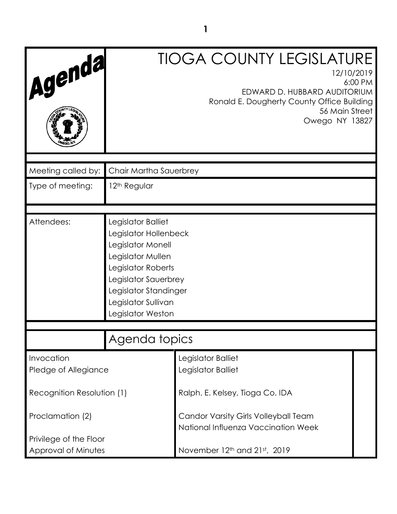| Agenda                                        | <b>TIOGA COUNTY LEGISLATURE</b><br>12/10/2019<br>6:00 PM<br>EDWARD D. HUBBARD AUDITORIUM<br>Ronald E. Dougherty County Office Building<br>56 Main Street<br>Owego NY 13827                               |                                                                             |  |
|-----------------------------------------------|----------------------------------------------------------------------------------------------------------------------------------------------------------------------------------------------------------|-----------------------------------------------------------------------------|--|
|                                               |                                                                                                                                                                                                          |                                                                             |  |
| Meeting called by:                            | Chair Martha Sauerbrey                                                                                                                                                                                   |                                                                             |  |
| Type of meeting:                              | 12 <sup>th</sup> Regular                                                                                                                                                                                 |                                                                             |  |
|                                               |                                                                                                                                                                                                          |                                                                             |  |
| Attendees:                                    | Legislator Balliet<br>Legislator Hollenbeck<br>Legislator Monell<br>Legislator Mullen<br>Legislator Roberts<br>Legislator Sauerbrey<br>Legislator Standinger<br>Legislator Sullivan<br>Legislator Weston |                                                                             |  |
| Agenda topics                                 |                                                                                                                                                                                                          |                                                                             |  |
| Invocation<br>Pledge of Allegiance            |                                                                                                                                                                                                          | Legislator Balliet<br>Legislator Balliet                                    |  |
| Recognition Resolution (1)                    |                                                                                                                                                                                                          | Ralph. E. Kelsey, Tioga Co. IDA                                             |  |
| Proclamation (2)                              |                                                                                                                                                                                                          | Candor Varsity Girls Volleyball Team<br>National Influenza Vaccination Week |  |
| Privilege of the Floor<br>Approval of Minutes |                                                                                                                                                                                                          | November 12th and 21st, 2019                                                |  |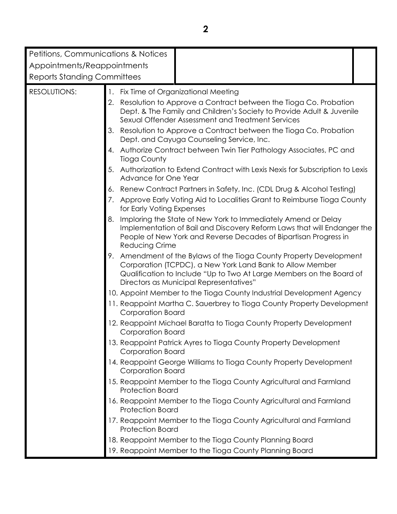| <b>Petitions, Communications &amp; Notices</b>          |                                                                                                                     |                                                                                                                                                                                                                                                  |  |  |
|---------------------------------------------------------|---------------------------------------------------------------------------------------------------------------------|--------------------------------------------------------------------------------------------------------------------------------------------------------------------------------------------------------------------------------------------------|--|--|
| Appointments/Reappointments                             |                                                                                                                     |                                                                                                                                                                                                                                                  |  |  |
| <b>Reports Standing Committees</b>                      |                                                                                                                     |                                                                                                                                                                                                                                                  |  |  |
|                                                         |                                                                                                                     |                                                                                                                                                                                                                                                  |  |  |
| <b>RESOLUTIONS:</b>                                     |                                                                                                                     | 1. Fix Time of Organizational Meeting                                                                                                                                                                                                            |  |  |
|                                                         | 2.                                                                                                                  | Resolution to Approve a Contract between the Tioga Co. Probation<br>Dept. & The Family and Children's Society to Provide Adult & Juvenile<br>Sexual Offender Assessment and Treatment Services                                                   |  |  |
|                                                         | Resolution to Approve a Contract between the Tioga Co. Probation<br>3.<br>Dept. and Cayuga Counseling Service, Inc. |                                                                                                                                                                                                                                                  |  |  |
| 4.<br><b>Tioga County</b><br>5.<br>Advance for One Year |                                                                                                                     | Authorize Contract between Twin Tier Pathology Associates, PC and                                                                                                                                                                                |  |  |
|                                                         |                                                                                                                     | Authorization to Extend Contract with Lexis Nexis for Subscription to Lexis                                                                                                                                                                      |  |  |
|                                                         | 6.                                                                                                                  | Renew Contract Partners in Safety, Inc. (CDL Drug & Alcohol Testing)                                                                                                                                                                             |  |  |
|                                                         | 7.                                                                                                                  | Approve Early Voting Aid to Localities Grant to Reimburse Tioga County<br>for Early Voting Expenses                                                                                                                                              |  |  |
|                                                         | 8.                                                                                                                  | Imploring the State of New York to Immediately Amend or Delay<br>Implementation of Bail and Discovery Reform Laws that will Endanger the<br>People of New York and Reverse Decades of Bipartisan Progress in<br>Reducing Crime                   |  |  |
|                                                         | 9.                                                                                                                  | Amendment of the Bylaws of the Tioga County Property Development<br>Corporation (TCPDC), a New York Land Bank to Allow Member<br>Qualification to Include "Up to Two At Large Members on the Board of<br>Directors as Municipal Representatives" |  |  |
|                                                         |                                                                                                                     | 10. Appoint Member to the Tioga County Industrial Development Agency                                                                                                                                                                             |  |  |
|                                                         |                                                                                                                     | 11. Reappoint Martha C. Sauerbrey to Tioga County Property Development<br>Corporation Board                                                                                                                                                      |  |  |
|                                                         |                                                                                                                     | 12. Reappoint Michael Baratta to Tioga County Property Development<br>Corporation Board                                                                                                                                                          |  |  |
|                                                         |                                                                                                                     | 13. Reappoint Patrick Ayres to Tioga County Property Development<br>Corporation Board                                                                                                                                                            |  |  |
|                                                         |                                                                                                                     | 14. Reappoint George Williams to Tioga County Property Development<br>Corporation Board                                                                                                                                                          |  |  |
|                                                         |                                                                                                                     | 15. Reappoint Member to the Tioga County Agricultural and Farmland<br><b>Protection Board</b>                                                                                                                                                    |  |  |
|                                                         |                                                                                                                     | 16. Reappoint Member to the Tioga County Agricultural and Farmland<br><b>Protection Board</b>                                                                                                                                                    |  |  |
|                                                         |                                                                                                                     | 17. Reappoint Member to the Tioga County Agricultural and Farmland<br><b>Protection Board</b>                                                                                                                                                    |  |  |
|                                                         |                                                                                                                     | 18. Reappoint Member to the Tioga County Planning Board                                                                                                                                                                                          |  |  |
|                                                         |                                                                                                                     | 19. Reappoint Member to the Tioga County Planning Board                                                                                                                                                                                          |  |  |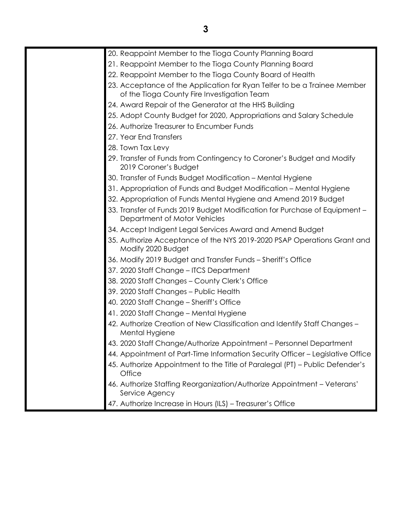| 20. Reappoint Member to the Tioga County Planning Board                                                                 |
|-------------------------------------------------------------------------------------------------------------------------|
| 21. Reappoint Member to the Tioga County Planning Board                                                                 |
| 22. Reappoint Member to the Tioga County Board of Health                                                                |
| 23. Acceptance of the Application for Ryan Telfer to be a Trainee Member<br>of the Tioga County Fire Investigation Team |
| 24. Award Repair of the Generator at the HHS Building                                                                   |
| 25. Adopt County Budget for 2020, Appropriations and Salary Schedule                                                    |
| 26. Authorize Treasurer to Encumber Funds                                                                               |
| 27. Year End Transfers                                                                                                  |
| 28. Town Tax Levy                                                                                                       |
| 29. Transfer of Funds from Contingency to Coroner's Budget and Modify<br>2019 Coroner's Budget                          |
| 30. Transfer of Funds Budget Modification - Mental Hygiene                                                              |
| 31. Appropriation of Funds and Budget Modification – Mental Hygiene                                                     |
| 32. Appropriation of Funds Mental Hygiene and Amend 2019 Budget                                                         |
| 33. Transfer of Funds 2019 Budget Modification for Purchase of Equipment -<br>Department of Motor Vehicles              |
| 34. Accept Indigent Legal Services Award and Amend Budget                                                               |
| 35. Authorize Acceptance of the NYS 2019-2020 PSAP Operations Grant and<br>Modify 2020 Budget                           |
| 36. Modify 2019 Budget and Transfer Funds - Sheriff's Office                                                            |
| 37. 2020 Staff Change - ITCS Department                                                                                 |
| 38. 2020 Staff Changes - County Clerk's Office                                                                          |
| 39. 2020 Staff Changes - Public Health                                                                                  |
| 40. 2020 Staff Change - Sheriff's Office                                                                                |
| 41. 2020 Staff Change - Mental Hygiene                                                                                  |
| 42. Authorize Creation of New Classification and Identify Staff Changes –<br>Mental Hygiene                             |
| 43. 2020 Staff Change/Authorize Appointment - Personnel Department                                                      |
| 44. Appointment of Part-Time Information Security Officer - Legislative Office                                          |
| 45. Authorize Appointment to the Title of Paralegal (PT) – Public Defender's<br>Office                                  |
| 46. Authorize Staffing Reorganization/Authorize Appointment - Veterans'<br>Service Agency                               |
| 47. Authorize Increase in Hours (ILS) - Treasurer's Office                                                              |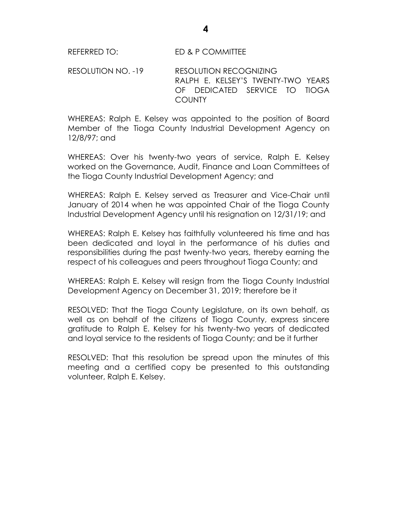RESOLUTION NO. -19 RESOLUTION RECOGNIZING RALPH E. KELSEY'S TWENTY-TWO YEARS OF DEDICATED SERVICE TO TIOGA **COUNTY** 

WHEREAS: Ralph E. Kelsey was appointed to the position of Board Member of the Tioga County Industrial Development Agency on 12/8/97; and

WHEREAS: Over his twenty-two years of service, Ralph E. Kelsey worked on the Governance, Audit, Finance and Loan Committees of the Tioga County Industrial Development Agency; and

WHEREAS: Ralph E. Kelsey served as Treasurer and Vice-Chair until January of 2014 when he was appointed Chair of the Tioga County Industrial Development Agency until his resignation on 12/31/19; and

WHEREAS: Ralph E. Kelsey has faithfully volunteered his time and has been dedicated and loyal in the performance of his duties and responsibilities during the past twenty-two years, thereby earning the respect of his colleagues and peers throughout Tioga County; and

WHEREAS: Ralph E. Kelsey will resign from the Tioga County Industrial Development Agency on December 31, 2019; therefore be it

RESOLVED: That the Tioga County Legislature, on its own behalf, as well as on behalf of the citizens of Tioga County, express sincere gratitude to Ralph E. Kelsey for his twenty-two years of dedicated and loyal service to the residents of Tioga County; and be it further

RESOLVED: That this resolution be spread upon the minutes of this meeting and a certified copy be presented to this outstanding volunteer, Ralph E. Kelsey.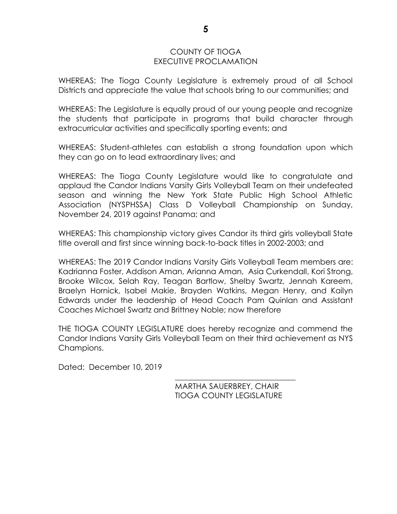## COUNTY OF TIOGA EXECUTIVE PROCLAMATION

WHEREAS: The Tioga County Legislature is extremely proud of all School Districts and appreciate the value that schools bring to our communities; and

WHEREAS: The Legislature is equally proud of our young people and recognize the students that participate in programs that build character through extracurricular activities and specifically sporting events; and

WHEREAS: Student-athletes can establish a strong foundation upon which they can go on to lead extraordinary lives; and

WHEREAS: The Tioga County Legislature would like to congratulate and applaud the Candor Indians Varsity Girls Volleyball Team on their undefeated season and winning the New York State Public High School Athletic Association (NYSPHSSA) Class D Volleyball Championship on Sunday, November 24, 2019 against Panama; and

WHEREAS: This championship victory gives Candor its third girls volleyball State title overall and first since winning back-to-back titles in 2002-2003; and

WHEREAS: The 2019 Candor Indians Varsity Girls Volleyball Team members are: Kadrianna Foster, Addison Aman, Arianna Aman, Asia Curkendall, Kori Strong, Brooke Wilcox, Selah Ray, Teagan Bartlow, Shelby Swartz, Jennah Kareem, Braelyn Hornick, Isabel Makie, Brayden Watkins, Megan Henry, and Kailyn Edwards under the leadership of Head Coach Pam Quinlan and Assistant Coaches Michael Swartz and Brittney Noble; now therefore

THE TIOGA COUNTY LEGISLATURE does hereby recognize and commend the Candor Indians Varsity Girls Volleyball Team on their third achievement as NYS Champions.

Dated: December 10, 2019

MARTHA SAUERBREY, CHAIR TIOGA COUNTY LEGISLATURE

\_\_\_\_\_\_\_\_\_\_\_\_\_\_\_\_\_\_\_\_\_\_\_\_\_\_\_\_\_\_\_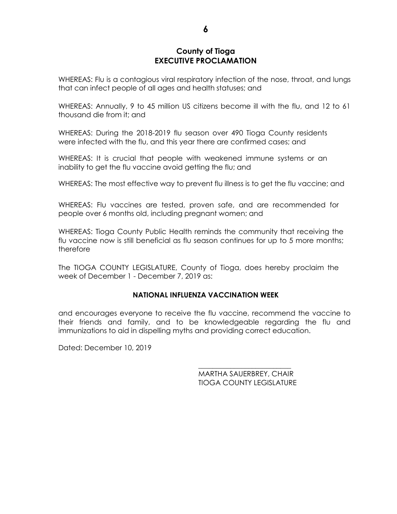## **County of Tioga EXECUTIVE PROCLAMATION**

WHEREAS: Flu is a contagious viral respiratory infection of the nose, throat, and lungs that can infect people of all ages and health statuses; and

WHEREAS: Annually, 9 to 45 million US citizens become ill with the flu, and 12 to 61 thousand die from it; and

WHEREAS: During the 2018-2019 flu season over 490 Tioga County residents were infected with the flu, and this year there are confirmed cases; and

WHEREAS: It is crucial that people with weakened immune systems or an inability to get the flu vaccine avoid getting the flu; and

WHEREAS: The most effective way to prevent flu illness is to get the flu vaccine; and

WHEREAS: Flu vaccines are tested, proven safe, and are recommended for people over 6 months old, including pregnant women; and

WHEREAS: Tioga County Public Health reminds the community that receiving the flu vaccine now is still beneficial as flu season continues for up to 5 more months; therefore

The TIOGA COUNTY LEGISLATURE, County of Tioga, does hereby proclaim the week of December 1 - December 7, 2019 as:

## **NATIONAL INFLUENZA VACCINATION WEEK**

and encourages everyone to receive the flu vaccine, recommend the vaccine to their friends and family, and to be knowledgeable regarding the flu and immunizations to aid in dispelling myths and providing correct education.

Dated: December 10, 2019

MARTHA SAUERBREY, CHAIR TIOGA COUNTY LEGISLATURE

\_\_\_\_\_\_\_\_\_\_\_\_\_\_\_\_\_\_\_\_\_\_\_\_\_\_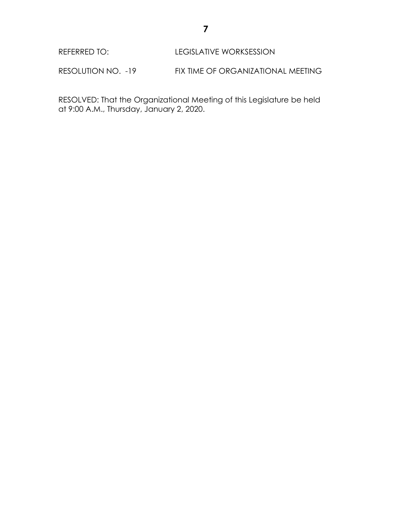REFERRED TO: LEGISLATIVE WORKSESSION

RESOLUTION NO. -19 FIX TIME OF ORGANIZATIONAL MEETING

RESOLVED: That the Organizational Meeting of this Legislature be held at 9:00 A.M., Thursday, January 2, 2020.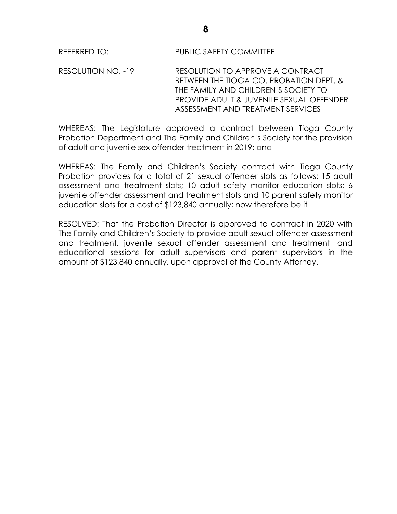RESOLUTION NO. -19 RESOLUTION TO APPROVE A CONTRACT BETWEEN THE TIOGA CO. PROBATION DEPT. & THE FAMILY AND CHILDREN'S SOCIETY TO PROVIDE ADULT & JUVENILE SEXUAL OFFENDER ASSESSMENT AND TREATMENT SERVICES

WHEREAS: The Legislature approved a contract between Tioga County Probation Department and The Family and Children's Society for the provision of adult and juvenile sex offender treatment in 2019; and

WHEREAS: The Family and Children's Society contract with Tioga County Probation provides for a total of 21 sexual offender slots as follows: 15 adult assessment and treatment slots; 10 adult safety monitor education slots; 6 juvenile offender assessment and treatment slots and 10 parent safety monitor education slots for a cost of \$123,840 annually; now therefore be it

RESOLVED: That the Probation Director is approved to contract in 2020 with The Family and Children's Society to provide adult sexual offender assessment and treatment, juvenile sexual offender assessment and treatment, and educational sessions for adult supervisors and parent supervisors in the amount of \$123,840 annually, upon approval of the County Attorney.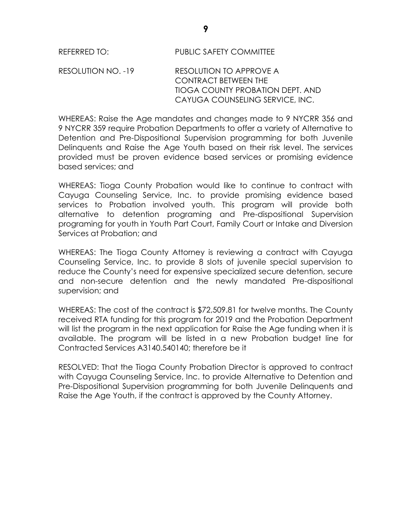RESOLUTION NO. -19 RESOLUTION TO APPROVE A CONTRACT BETWEEN THE TIOGA COUNTY PROBATION DEPT. AND CAYUGA COUNSELING SERVICE, INC.

WHEREAS: Raise the Age mandates and changes made to 9 NYCRR 356 and 9 NYCRR 359 require Probation Departments to offer a variety of Alternative to Detention and Pre-Dispositional Supervision programming for both Juvenile Delinquents and Raise the Age Youth based on their risk level. The services provided must be proven evidence based services or promising evidence based services; and

WHEREAS: Tioga County Probation would like to continue to contract with Cayuga Counseling Service, Inc. to provide promising evidence based services to Probation involved youth. This program will provide both alternative to detention programing and Pre-dispositional Supervision programing for youth in Youth Part Court, Family Court or Intake and Diversion Services at Probation; and

WHEREAS: The Tioga County Attorney is reviewing a contract with Cayuga Counseling Service, Inc. to provide 8 slots of juvenile special supervision to reduce the County's need for expensive specialized secure detention, secure and non-secure detention and the newly mandated Pre-dispositional supervision; and

WHEREAS: The cost of the contract is \$72,509.81 for twelve months. The County received RTA funding for this program for 2019 and the Probation Department will list the program in the next application for Raise the Age funding when it is available. The program will be listed in a new Probation budget line for Contracted Services A3140.540140; therefore be it

RESOLVED: That the Tioga County Probation Director is approved to contract with Cayuga Counseling Service, Inc. to provide Alternative to Detention and Pre-Dispositional Supervision programming for both Juvenile Delinquents and Raise the Age Youth, if the contract is approved by the County Attorney.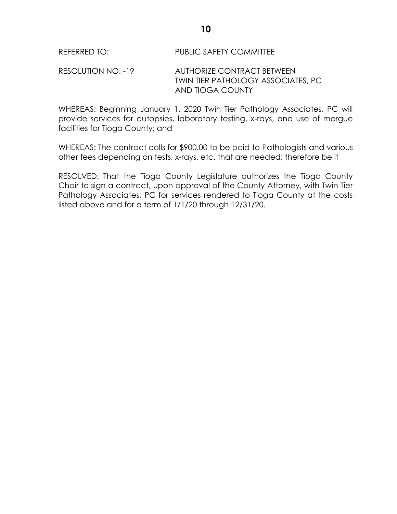RESOLUTION NO. -19 AUTHORIZE CONTRACT BETWEEN TWIN TIER PATHOLOGY ASSOCIATES, PC AND TIOGA COUNTY

WHEREAS: Beginning January 1, 2020 Twin Tier Pathology Associates, PC will provide services for autopsies, laboratory testing, x-rays, and use of morgue facilities for Tioga County; and

WHEREAS: The contract calls for \$900.00 to be paid to Pathologists and various other fees depending on tests, x-rays, etc. that are needed; therefore be it

RESOLVED: That the Tioga County Legislature authorizes the Tioga County Chair to sign a contract, upon approval of the County Attorney, with Twin Tier Pathology Associates, PC for services rendered to Tioga County at the costs listed above and for a term of 1/1/20 through 12/31/20.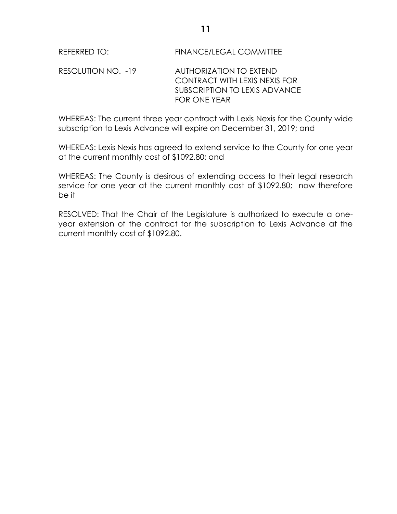RESOLUTION NO. -19 AUTHORIZATION TO EXTEND CONTRACT WITH LEXIS NEXIS FOR SUBSCRIPTION TO LEXIS ADVANCE FOR ONE YEAR

WHEREAS: The current three year contract with Lexis Nexis for the County wide subscription to Lexis Advance will expire on December 31, 2019; and

WHEREAS: Lexis Nexis has agreed to extend service to the County for one year at the current monthly cost of \$1092.80; and

WHEREAS: The County is desirous of extending access to their legal research service for one year at the current monthly cost of \$1092.80; now therefore be it

RESOLVED: That the Chair of the Legislature is authorized to execute a oneyear extension of the contract for the subscription to Lexis Advance at the current monthly cost of \$1092.80.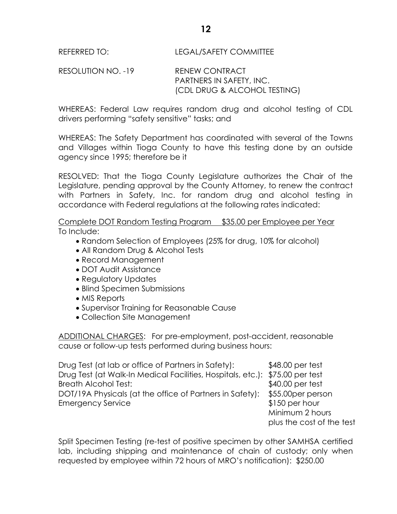RESOLUTION NO. -19 RENEW CONTRACT PARTNERS IN SAFETY, INC. (CDL DRUG & ALCOHOL TESTING)

WHEREAS: Federal Law requires random drug and alcohol testing of CDL drivers performing "safety sensitive" tasks; and

WHEREAS: The Safety Department has coordinated with several of the Towns and Villages within Tioga County to have this testing done by an outside agency since 1995; therefore be it

RESOLVED: That the Tioga County Legislature authorizes the Chair of the Legislature, pending approval by the County Attorney, to renew the contract with Partners in Safety, Inc. for random drug and alcohol testing in accordance with Federal regulations at the following rates indicated:

Complete DOT Random Testing Program \$35.00 per Employee per Year To Include:

- Random Selection of Employees (25% for drug, 10% for alcohol)
- All Random Drug & Alcohol Tests
- Record Management
- DOT Audit Assistance
- Regulatory Updates
- Blind Specimen Submissions
- MIS Reports
- Supervisor Training for Reasonable Cause
- Collection Site Management

ADDITIONAL CHARGES: For pre-employment, post-accident, reasonable cause or follow-up tests performed during business hours:

Drug Test (at lab or office of Partners in Safety): \$48.00 per test Drug Test (at Walk-In Medical Facilities, Hospitals, etc.): \$75.00 per test Breath Alcohol Test:  $$40.00$  per test DOT/19A Physicals (at the office of Partners in Safety): \$55.00per person Emergency Service **business \$150 per hour** Minimum 2 hours

Split Specimen Testing (re-test of positive specimen by other SAMHSA certified lab, including shipping and maintenance of chain of custody; only when requested by employee within 72 hours of MRO's notification): \$250.00

plus the cost of the test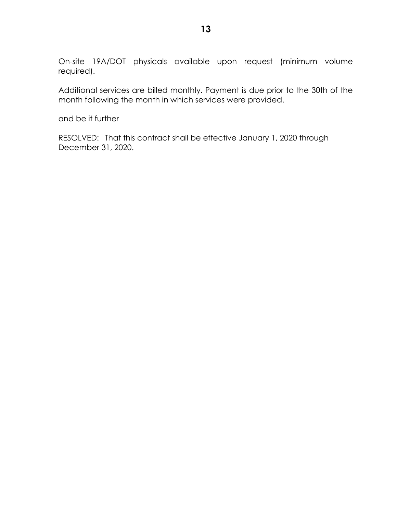On-site 19A/DOT physicals available upon request (minimum volume required).

Additional services are billed monthly. Payment is due prior to the 30th of the month following the month in which services were provided.

and be it further

RESOLVED: That this contract shall be effective January 1, 2020 through December 31, 2020.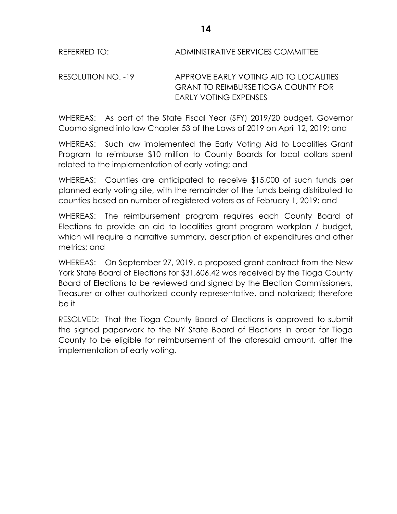REFERRED TO: ADMINISTRATIVE SERVICES COMMITTEE

RESOLUTION NO. -19 APPROVE EARLY VOTING AID TO LOCALITIES GRANT TO REIMBURSE TIOGA COUNTY FOR EARLY VOTING EXPENSES

WHEREAS: As part of the State Fiscal Year (SFY) 2019/20 budget, Governor Cuomo signed into law Chapter 53 of the Laws of 2019 on April 12, 2019; and

WHEREAS: Such law implemented the Early Voting Aid to Localities Grant Program to reimburse \$10 million to County Boards for local dollars spent related to the implementation of early voting; and

WHEREAS: Counties are anticipated to receive \$15,000 of such funds per planned early voting site, with the remainder of the funds being distributed to counties based on number of registered voters as of February 1, 2019; and

WHEREAS: The reimbursement program requires each County Board of Elections to provide an aid to localities grant program workplan / budget, which will require a narrative summary, description of expenditures and other metrics; and

WHEREAS: On September 27, 2019, a proposed grant contract from the New York State Board of Elections for \$31,606.42 was received by the Tioga County Board of Elections to be reviewed and signed by the Election Commissioners, Treasurer or other authorized county representative, and notarized; therefore be it

RESOLVED: That the Tioga County Board of Elections is approved to submit the signed paperwork to the NY State Board of Elections in order for Tioga County to be eligible for reimbursement of the aforesaid amount, after the implementation of early voting.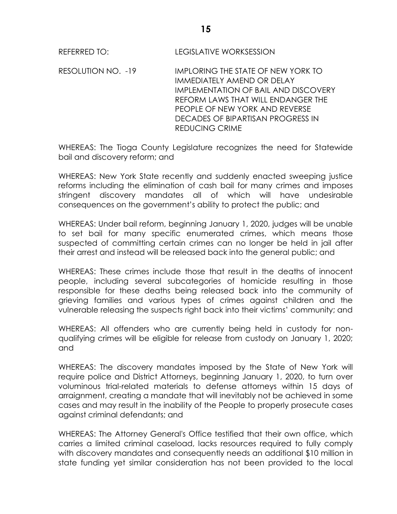RESOLUTION NO. -19 IMPLORING THE STATE OF NEW YORK TO IMMEDIATELY AMEND OR DELAY IMPLEMENTATION OF BAIL AND DISCOVERY REFORM LAWS THAT WILL ENDANGER THE PEOPLE OF NEW YORK AND REVERSE DECADES OF BIPARTISAN PROGRESS IN REDUCING CRIME

WHEREAS: The Tioga County Legislature recognizes the need for Statewide bail and discovery reform; and

WHEREAS: New York State recently and suddenly enacted sweeping justice reforms including the elimination of cash bail for many crimes and imposes stringent discovery mandates all of which will have undesirable consequences on the government's ability to protect the public; and

WHEREAS: Under bail reform, beginning January 1, 2020, judges will be unable to set bail for many specific enumerated crimes, which means those suspected of committing certain crimes can no longer be held in jail after their arrest and instead will be released back into the general public; and

WHEREAS: These crimes include those that result in the deaths of innocent people, including several subcategories of homicide resulting in those responsible for these deaths being released back into the community of grieving families and various types of crimes against children and the vulnerable releasing the suspects right back into their victims' community; and

WHEREAS: All offenders who are currently being held in custody for nonqualifying crimes will be eligible for release from custody on January 1, 2020; and

WHEREAS: The discovery mandates imposed by the State of New York will require police and District Attorneys, beginning January 1, 2020, to turn over voluminous trial-related materials to defense attorneys within 15 days of arraignment, creating a mandate that will inevitably not be achieved in some cases and may result in the inability of the People to properly prosecute cases against criminal defendants; and

WHEREAS: The Attorney General's Office testified that their own office, which carries a limited criminal caseload, lacks resources required to fully comply with discovery mandates and consequently needs an additional \$10 million in state funding yet similar consideration has not been provided to the local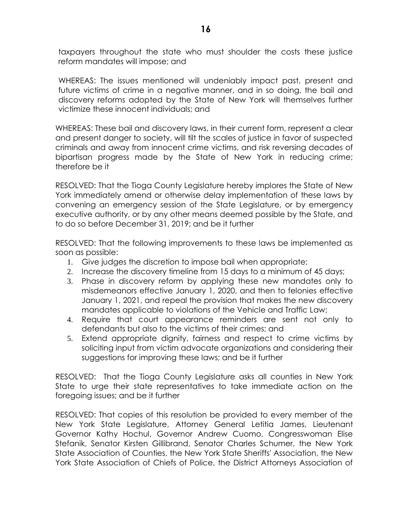taxpayers throughout the state who must shoulder the costs these justice reform mandates will impose; and

WHEREAS: The issues mentioned will undeniably impact past, present and future victims of crime in a negative manner, and in so doing, the bail and discovery reforms adopted by the State of New York will themselves further victimize these innocent individuals; and

WHEREAS: These bail and discovery laws, in their current form, represent a clear and present danger to society, will tilt the scales of justice in favor of suspected criminals and away from innocent crime victims, and risk reversing decades of bipartisan progress made by the State of New York in reducing crime; therefore be it

RESOLVED: That the Tioga County Legislature hereby implores the State of New York immediately amend or otherwise delay implementation of these laws by convening an emergency session of the State Legislature, or by emergency executive authority, or by any other means deemed possible by the State, and to do so before December 31, 2019; and be it further

RESOLVED: That the following improvements to these laws be implemented as soon as possible:

- 1. Give judges the discretion to impose bail when appropriate;
- 2. Increase the discovery timeline from 15 days to a minimum of 45 days;
- 3. Phase in discovery reform by applying these new mandates only to misdemeanors effective January 1, 2020, and then to felonies effective January 1, 2021, and repeal the provision that makes the new discovery mandates applicable to violations of the Vehicle and Traffic Law;
- 4. Require that court appearance reminders are sent not only to defendants but also to the victims of their crimes; and
- 5. Extend appropriate dignity, fairness and respect to crime victims by soliciting input from victim advocate organizations and considering their suggestions for improving these laws; and be it further

RESOLVED: That the Tioga County Legislature asks all counties in New York State to urge their state representatives to take immediate action on the foregoing issues; and be it further

RESOLVED: That copies of this resolution be provided to every member of the New York State Legislature, Attorney General Letitia James, Lieutenant Governor Kathy Hochul, Governor Andrew Cuomo, Congresswoman Elise Stefanik, Senator Kirsten Gillibrand, Senator Charles Schumer, the New York State Association of Counties, the New York State Sheriffs' Association, the New York State Association of Chiefs of Police, the District Attorneys Association of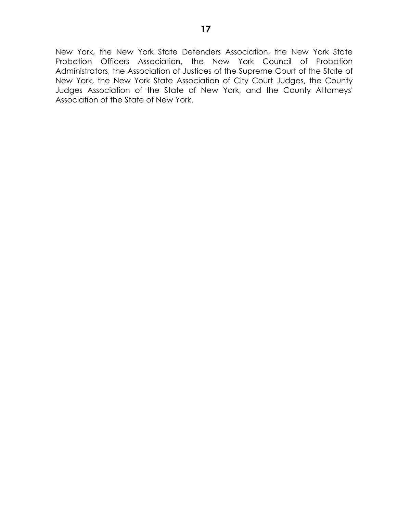New York, the New York State Defenders Association, the New York State Probation Officers Association, the New York Council of Probation Administrators, the Association of Justices of the Supreme Court of the State of New York, the New York State Association of City Court Judges, the County Judges Association of the State of New York, and the County Attorneys' Association of the State of New York.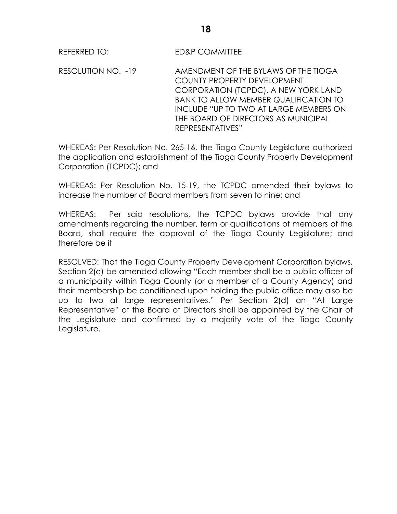RESOLUTION NO. -19 AMENDMENT OF THE BYLAWS OF THE TIOGA COUNTY PROPERTY DEVELOPMENT CORPORATION (TCPDC), A NEW YORK LAND BANK TO ALLOW MEMBER QUALIFICATION TO INCLUDE "UP TO TWO AT LARGE MEMBERS ON THE BOARD OF DIRECTORS AS MUNICIPAL REPRESENTATIVES"

WHEREAS: Per Resolution No. 265-16, the Tioga County Legislature authorized the application and establishment of the Tioga County Property Development Corporation (TCPDC); and

WHEREAS: Per Resolution No. 15-19, the TCPDC amended their bylaws to increase the number of Board members from seven to nine; and

WHEREAS: Per said resolutions, the TCPDC bylaws provide that any amendments regarding the number, term or qualifications of members of the Board, shall require the approval of the Tioga County Legislature; and therefore be it

RESOLVED: That the Tioga County Property Development Corporation bylaws, Section 2(c) be amended allowing "Each member shall be a public officer of a municipality within Tioga County (or a member of a County Agency) and their membership be conditioned upon holding the public office may also be up to two at large representatives." Per Section 2(d) an "At Large Representative" of the Board of Directors shall be appointed by the Chair of the Legislature and confirmed by a majority vote of the Tioga County Legislature.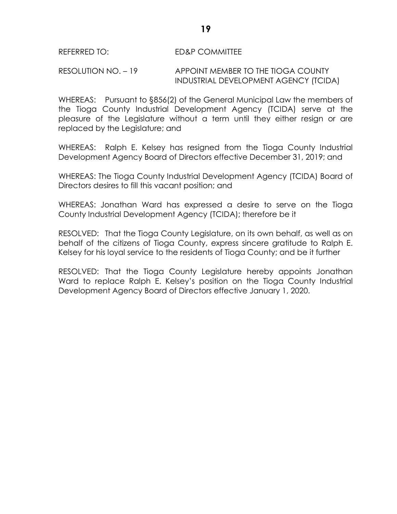## RESOLUTION NO. – 19 APPOINT MEMBER TO THE TIOGA COUNTY INDUSTRIAL DEVELOPMENT AGENCY (TCIDA)

WHEREAS: Pursuant to §856(2) of the General Municipal Law the members of the Tioga County Industrial Development Agency (TCIDA) serve at the pleasure of the Legislature without a term until they either resign or are replaced by the Legislature; and

WHEREAS: Ralph E. Kelsey has resigned from the Tioga County Industrial Development Agency Board of Directors effective December 31, 2019; and

WHEREAS: The Tioga County Industrial Development Agency (TCIDA) Board of Directors desires to fill this vacant position; and

WHEREAS: Jonathan Ward has expressed a desire to serve on the Tioga County Industrial Development Agency (TCIDA); therefore be it

RESOLVED: That the Tioga County Legislature, on its own behalf, as well as on behalf of the citizens of Tioga County, express sincere gratitude to Ralph E. Kelsey for his loyal service to the residents of Tioga County; and be it further

RESOLVED: That the Tioga County Legislature hereby appoints Jonathan Ward to replace Ralph E. Kelsey's position on the Tioga County Industrial Development Agency Board of Directors effective January 1, 2020.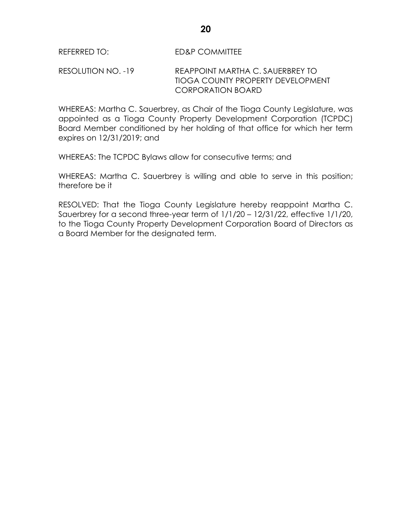RESOLUTION NO. -19 REAPPOINT MARTHA C. SAUERBREY TO TIOGA COUNTY PROPERTY DEVELOPMENT CORPORATION BOARD

WHEREAS: Martha C. Sauerbrey, as Chair of the Tioga County Legislature, was appointed as a Tioga County Property Development Corporation (TCPDC) Board Member conditioned by her holding of that office for which her term expires on 12/31/2019; and

WHEREAS: The TCPDC Bylaws allow for consecutive terms; and

WHEREAS: Martha C. Sauerbrey is willing and able to serve in this position; therefore be it

RESOLVED: That the Tioga County Legislature hereby reappoint Martha C. Sauerbrey for a second three-year term of 1/1/20 – 12/31/22, effective 1/1/20, to the Tioga County Property Development Corporation Board of Directors as a Board Member for the designated term.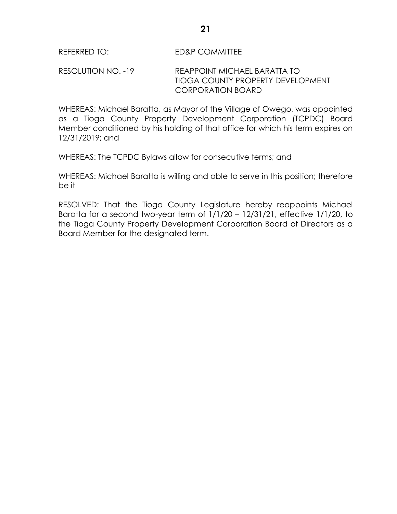RESOLUTION NO. -19 REAPPOINT MICHAEL BARATTA TO TIOGA COUNTY PROPERTY DEVELOPMENT CORPORATION BOARD

WHEREAS: Michael Baratta, as Mayor of the Village of Owego, was appointed as a Tioga County Property Development Corporation (TCPDC) Board Member conditioned by his holding of that office for which his term expires on 12/31/2019; and

WHEREAS: The TCPDC Bylaws allow for consecutive terms; and

WHEREAS: Michael Baratta is willing and able to serve in this position; therefore be it

RESOLVED: That the Tioga County Legislature hereby reappoints Michael Baratta for a second two-year term of 1/1/20 – 12/31/21, effective 1/1/20, to the Tioga County Property Development Corporation Board of Directors as a Board Member for the designated term.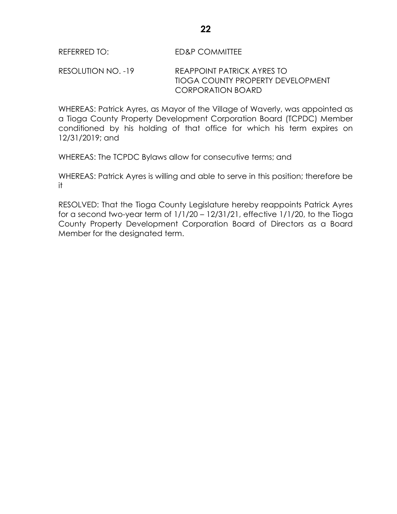# RESOLUTION NO. -19 REAPPOINT PATRICK AYRES TO TIOGA COUNTY PROPERTY DEVELOPMENT CORPORATION BOARD

WHEREAS: Patrick Ayres, as Mayor of the Village of Waverly, was appointed as a Tioga County Property Development Corporation Board (TCPDC) Member conditioned by his holding of that office for which his term expires on 12/31/2019; and

WHEREAS: The TCPDC Bylaws allow for consecutive terms; and

WHEREAS: Patrick Ayres is willing and able to serve in this position; therefore be it

RESOLVED: That the Tioga County Legislature hereby reappoints Patrick Ayres for a second two-year term of  $1/1/20 - 12/31/21$ , effective  $1/1/20$ , to the Tioga County Property Development Corporation Board of Directors as a Board Member for the designated term.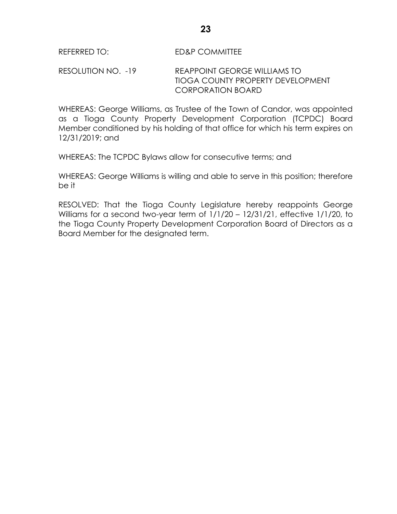RESOLUTION NO. -19 REAPPOINT GEORGE WILLIAMS TO TIOGA COUNTY PROPERTY DEVELOPMENT CORPORATION BOARD

WHEREAS: George Williams, as Trustee of the Town of Candor, was appointed as a Tioga County Property Development Corporation (TCPDC) Board Member conditioned by his holding of that office for which his term expires on 12/31/2019; and

WHEREAS: The TCPDC Bylaws allow for consecutive terms; and

WHEREAS: George Williams is willing and able to serve in this position; therefore be it

RESOLVED: That the Tioga County Legislature hereby reappoints George Williams for a second two-year term of 1/1/20 – 12/31/21, effective 1/1/20, to the Tioga County Property Development Corporation Board of Directors as a Board Member for the designated term.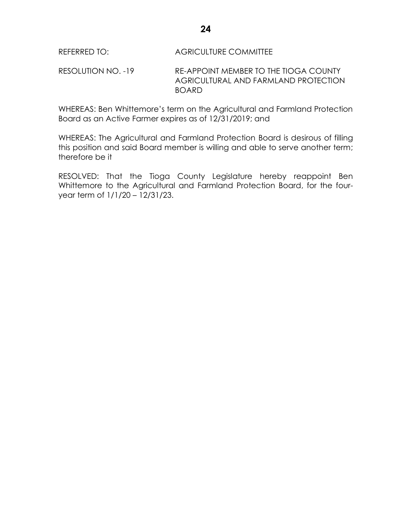RESOLUTION NO. -19 RE-APPOINT MEMBER TO THE TIOGA COUNTY AGRICULTURAL AND FARMLAND PROTECTION BOARD

WHEREAS: Ben Whittemore's term on the Agricultural and Farmland Protection Board as an Active Farmer expires as of 12/31/2019; and

WHEREAS: The Agricultural and Farmland Protection Board is desirous of filling this position and said Board member is willing and able to serve another term; therefore be it

RESOLVED: That the Tioga County Legislature hereby reappoint Ben Whittemore to the Agricultural and Farmland Protection Board, for the fouryear term of 1/1/20 – 12/31/23.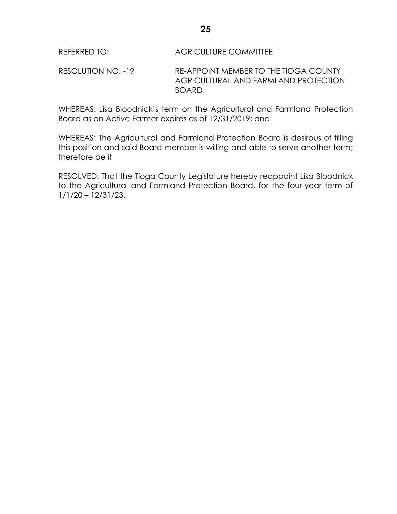RESOLUTION NO. -19 RE-APPOINT MEMBER TO THE TIOGA COUNTY AGRICULTURAL AND FARMLAND PROTECTION BOARD

WHEREAS: Lisa Bloodnick's term on the Agricultural and Farmland Protection Board as an Active Farmer expires as of 12/31/2019; and

WHEREAS: The Agricultural and Farmland Protection Board is desirous of filling this position and said Board member is willing and able to serve another term; therefore be it

RESOLVED: That the Tioga County Legislature hereby reappoint Lisa Bloodnick to the Agricultural and Farmland Protection Board, for the four-year term of 1/1/20 – 12/31/23.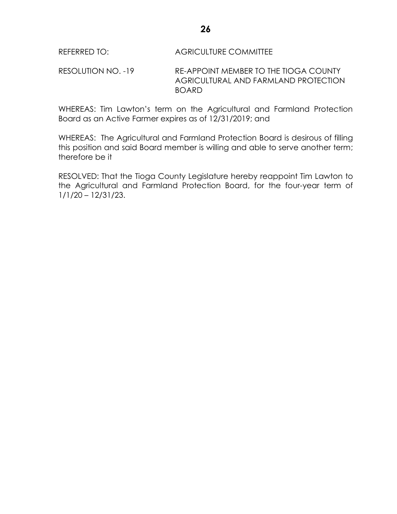RESOLUTION NO. -19 RE-APPOINT MEMBER TO THE TIOGA COUNTY AGRICULTURAL AND FARMLAND PROTECTION BOARD

WHEREAS: Tim Lawton's term on the Agricultural and Farmland Protection Board as an Active Farmer expires as of 12/31/2019; and

WHEREAS: The Agricultural and Farmland Protection Board is desirous of filling this position and said Board member is willing and able to serve another term; therefore be it

RESOLVED: That the Tioga County Legislature hereby reappoint Tim Lawton to the Agricultural and Farmland Protection Board, for the four-year term of 1/1/20 – 12/31/23.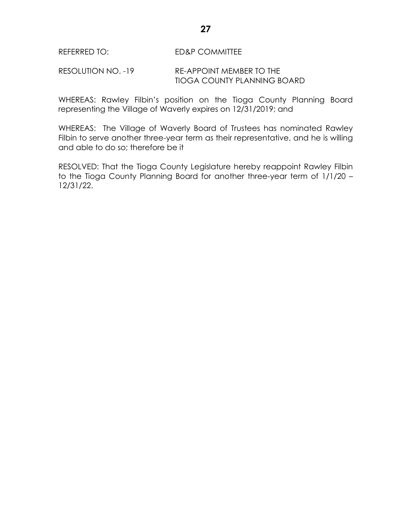#### RESOLUTION NO. -19 RE-APPOINT MEMBER TO THE TIOGA COUNTY PLANNING BOARD

WHEREAS: Rawley Filbin's position on the Tioga County Planning Board representing the Village of Waverly expires on 12/31/2019; and

WHEREAS: The Village of Waverly Board of Trustees has nominated Rawley Filbin to serve another three-year term as their representative, and he is willing and able to do so; therefore be it

RESOLVED: That the Tioga County Legislature hereby reappoint Rawley Filbin to the Tioga County Planning Board for another three-year term of 1/1/20 – 12/31/22.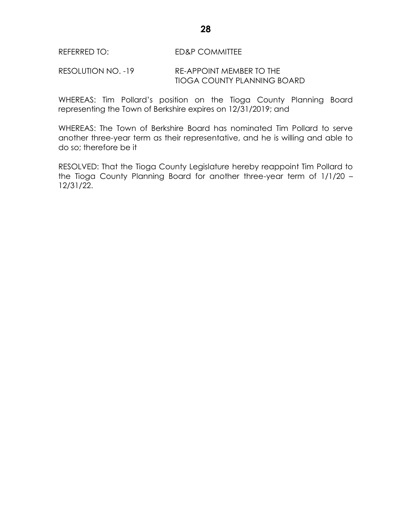#### RESOLUTION NO. -19 RE-APPOINT MEMBER TO THE TIOGA COUNTY PLANNING BOARD

WHEREAS: Tim Pollard's position on the Tioga County Planning Board representing the Town of Berkshire expires on 12/31/2019; and

WHEREAS: The Town of Berkshire Board has nominated Tim Pollard to serve another three-year term as their representative, and he is willing and able to do so; therefore be it

RESOLVED: That the Tioga County Legislature hereby reappoint Tim Pollard to the Tioga County Planning Board for another three-year term of 1/1/20 – 12/31/22.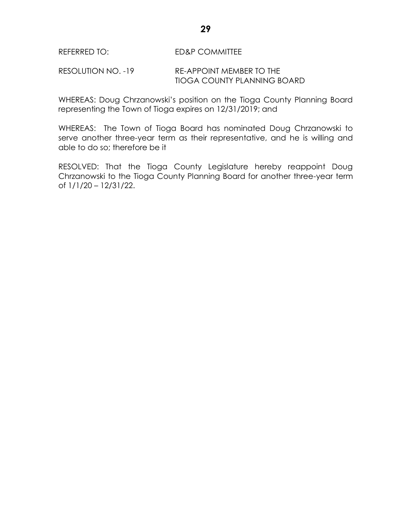#### RESOLUTION NO. -19 RE-APPOINT MEMBER TO THE TIOGA COUNTY PLANNING BOARD

WHEREAS: Doug Chrzanowski's position on the Tioga County Planning Board representing the Town of Tioga expires on 12/31/2019; and

WHEREAS: The Town of Tioga Board has nominated Doug Chrzanowski to serve another three-year term as their representative, and he is willing and able to do so; therefore be it

RESOLVED: That the Tioga County Legislature hereby reappoint Doug Chrzanowski to the Tioga County Planning Board for another three-year term of 1/1/20 – 12/31/22.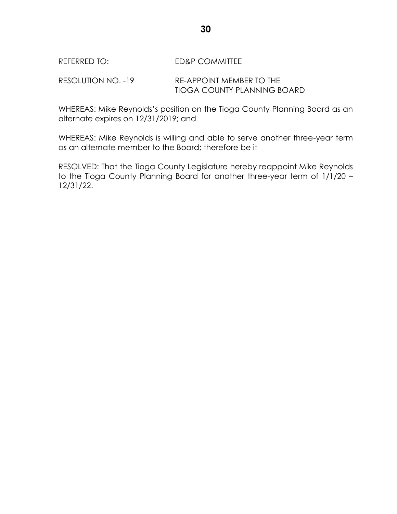RESOLUTION NO. -19 RE-APPOINT MEMBER TO THE TIOGA COUNTY PLANNING BOARD

WHEREAS: Mike Reynolds's position on the Tioga County Planning Board as an alternate expires on 12/31/2019; and

WHEREAS: Mike Reynolds is willing and able to serve another three-year term as an alternate member to the Board; therefore be it

RESOLVED: That the Tioga County Legislature hereby reappoint Mike Reynolds to the Tioga County Planning Board for another three-year term of 1/1/20 – 12/31/22.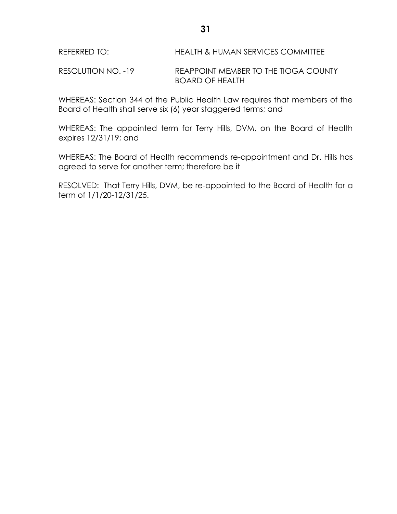RESOLUTION NO. -19 REAPPOINT MEMBER TO THE TIOGA COUNTY BOARD OF HEALTH

WHEREAS: Section 344 of the Public Health Law requires that members of the Board of Health shall serve six (6) year staggered terms; and

WHEREAS: The appointed term for Terry Hills, DVM, on the Board of Health expires 12/31/19; and

WHEREAS: The Board of Health recommends re-appointment and Dr. Hills has agreed to serve for another term; therefore be it

RESOLVED: That Terry Hills, DVM, be re-appointed to the Board of Health for a term of 1/1/20-12/31/25.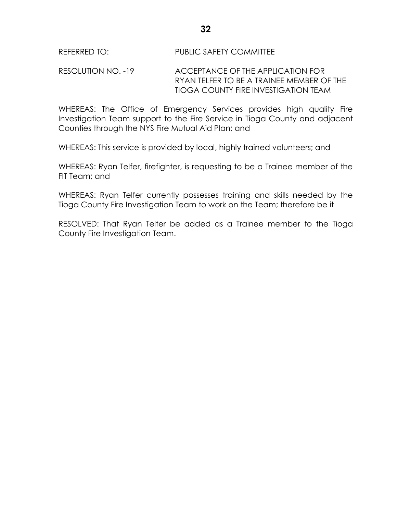RESOLUTION NO. -19 ACCEPTANCE OF THE APPLICATION FOR RYAN TELFER TO BE A TRAINEE MEMBER OF THE TIOGA COUNTY FIRE INVESTIGATION TEAM

WHEREAS: The Office of Emergency Services provides high quality Fire Investigation Team support to the Fire Service in Tioga County and adjacent Counties through the NYS Fire Mutual Aid Plan; and

WHEREAS: This service is provided by local, highly trained volunteers; and

WHEREAS: Ryan Telfer, firefighter, is requesting to be a Trainee member of the FIT Team; and

WHEREAS: Ryan Telfer currently possesses training and skills needed by the Tioga County Fire Investigation Team to work on the Team; therefore be it

RESOLVED: That Ryan Telfer be added as a Trainee member to the Tioga County Fire Investigation Team.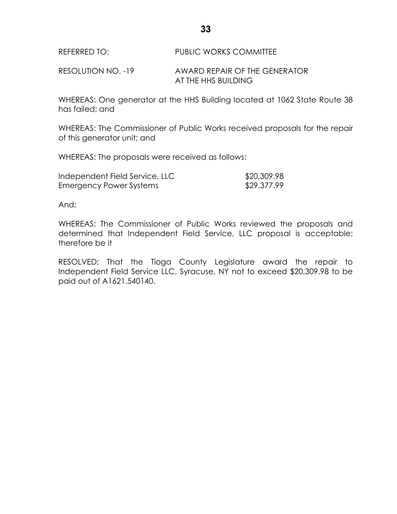REFERRED TO: PUBLIC WORKS COMMITTEE

RESOLUTION NO. -19 AWARD REPAIR OF THE GENERATOR AT THE HHS BUILDING

WHEREAS: One generator at the HHS Building located at 1062 State Route 38 has failed; and

WHEREAS: The Commissioner of Public Works received proposals for the repair of this generator unit; and

WHEREAS: The proposals were received as follows:

| Independent Field Service, LLC | \$20,309.98 |
|--------------------------------|-------------|
| Emergency Power Systems        | \$29,377.99 |

And;

WHEREAS: The Commissioner of Public Works reviewed the proposals and determined that Independent Field Service, LLC proposal is acceptable; therefore be it

RESOLVED: That the Tioga County Legislature award the repair to Independent Field Service LLC, Syracuse, NY not to exceed \$20,309.98 to be paid out of A1621.540140.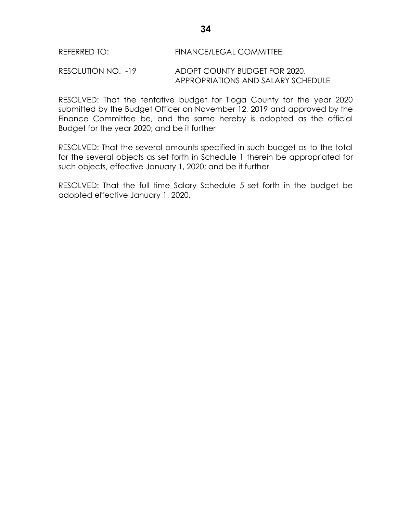#### RESOLUTION NO. -19 ADOPT COUNTY BUDGET FOR 2020, APPROPRIATIONS AND SALARY SCHEDULE

RESOLVED: That the tentative budget for Tioga County for the year 2020 submitted by the Budget Officer on November 12, 2019 and approved by the Finance Committee be, and the same hereby is adopted as the official Budget for the year 2020; and be it further

RESOLVED: That the several amounts specified in such budget as to the total for the several objects as set forth in Schedule 1 therein be appropriated for such objects, effective January 1, 2020; and be it further

RESOLVED: That the full time Salary Schedule 5 set forth in the budget be adopted effective January 1, 2020.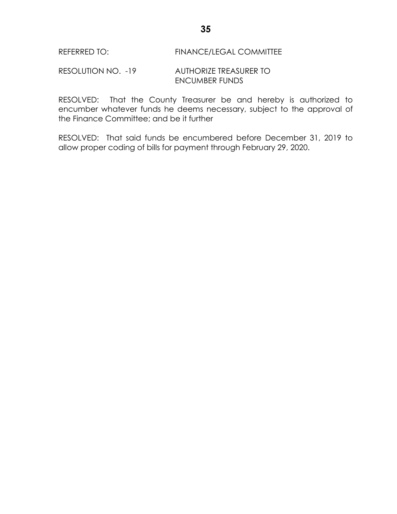## REFERRED TO: FINANCE/LEGAL COMMITTEE

#### RESOLUTION NO. -19 AUTHORIZE TREASURER TO ENCUMBER FUNDS

RESOLVED: That the County Treasurer be and hereby is authorized to encumber whatever funds he deems necessary, subject to the approval of the Finance Committee; and be it further

RESOLVED: That said funds be encumbered before December 31, 2019 to allow proper coding of bills for payment through February 29, 2020.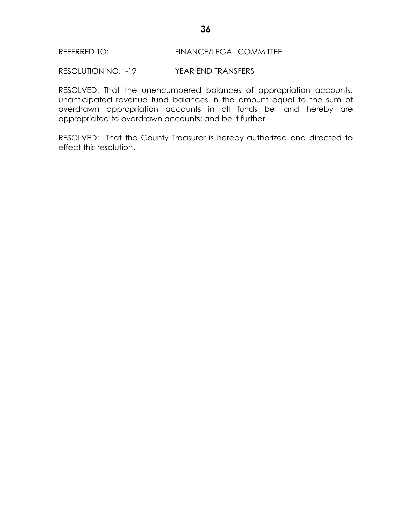## REFERRED TO: FINANCE/LEGAL COMMITTEE

RESOLUTION NO. -19 YEAR END TRANSFERS

RESOLVED: That the unencumbered balances of appropriation accounts, unanticipated revenue fund balances in the amount equal to the sum of overdrawn appropriation accounts in all funds be, and hereby are appropriated to overdrawn accounts; and be it further

RESOLVED: That the County Treasurer is hereby authorized and directed to effect this resolution.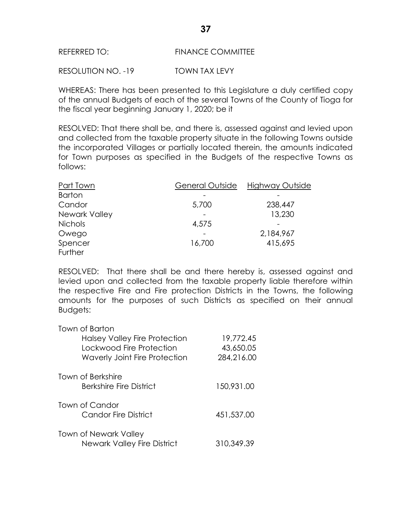## REFERRED TO: FINANCE COMMITTEE

RESOLUTION NO. -19 TOWN TAX LEVY

WHEREAS: There has been presented to this Legislature a duly certified copy of the annual Budgets of each of the several Towns of the County of Tioga for the fiscal year beginning January 1, 2020; be it

RESOLVED: That there shall be, and there is, assessed against and levied upon and collected from the taxable property situate in the following Towns outside the incorporated Villages or partially located therein, the amounts indicated for Town purposes as specified in the Budgets of the respective Towns as follows:

| Part Town      | General Outside | Highway Outside |
|----------------|-----------------|-----------------|
| <b>Barton</b>  |                 |                 |
| Candor         | 5,700           | 238,447         |
| Newark Valley  |                 | 13,230          |
| <b>Nichols</b> | 4,575           |                 |
| Owego          |                 | 2,184,967       |
| Spencer        | 16,700          | 415,695         |
| Further        |                 |                 |

RESOLVED: That there shall be and there hereby is, assessed against and levied upon and collected from the taxable property liable therefore within the respective Fire and Fire protection Districts in the Towns, the following amounts for the purposes of such Districts as specified on their annual Budgets:

| Town of Barton<br><b>Halsey Valley Fire Protection</b><br>Lockwood Fire Protection<br><b>Waverly Joint Fire Protection</b> | 19,772.45<br>43,650.05<br>284,216.00 |
|----------------------------------------------------------------------------------------------------------------------------|--------------------------------------|
| <b>Town of Berkshire</b><br>Berkshire Fire District                                                                        | 150,931.00                           |
| Town of Candor<br><b>Candor Fire District</b>                                                                              | 451,537.00                           |
| <b>Town of Newark Valley</b><br>Newark Valley Fire District                                                                | 310,349.39                           |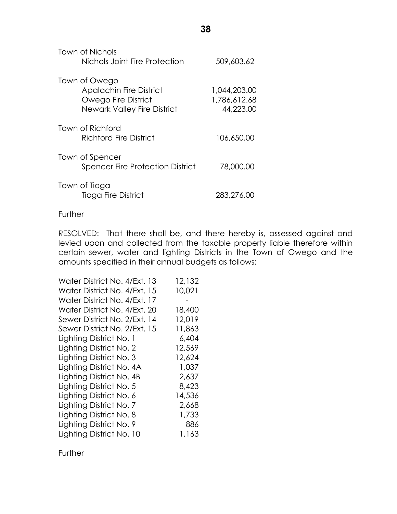| Town of Nichols<br>Nichols Joint Fire Protection                                                             | 509,603.62                                |
|--------------------------------------------------------------------------------------------------------------|-------------------------------------------|
| Town of Owego<br><b>Apalachin Fire District</b><br>Owego Fire District<br><b>Newark Valley Fire District</b> | 1,044,203.00<br>1,786,612.68<br>44,223.00 |
| Town of Richford<br>Richford Fire District                                                                   | 106.650.00                                |
| Town of Spencer<br><b>Spencer Fire Protection District</b>                                                   | 78,000.00                                 |
| Town of Tioga<br>Tioga Fire District                                                                         | 283,276.00                                |

### **Further**

RESOLVED: That there shall be, and there hereby is, assessed against and levied upon and collected from the taxable property liable therefore within certain sewer, water and lighting Districts in the Town of Owego and the amounts specified in their annual budgets as follows:

| Water District No. 4/Ext. 13 | 12,132 |
|------------------------------|--------|
| Water District No. 4/Ext. 15 | 10,021 |
| Water District No. 4/Ext. 17 |        |
| Water District No. 4/Ext. 20 | 18,400 |
| Sewer District No. 2/Ext. 14 | 12,019 |
| Sewer District No. 2/Ext. 15 | 11,863 |
| Lighting District No. 1      | 6,404  |
| Lighting District No. 2      | 12,569 |
| Lighting District No. 3      | 12,624 |
| Lighting District No. 4A     | 1,037  |
| Lighting District No. 4B     | 2,637  |
| Lighting District No. 5      | 8,423  |
| Lighting District No. 6      | 14,536 |
| Lighting District No. 7      | 2,668  |
| Lighting District No. 8      | 1,733  |
| Lighting District No. 9      | 886    |
| Lighting District No. 10     | 1,163  |

**Further**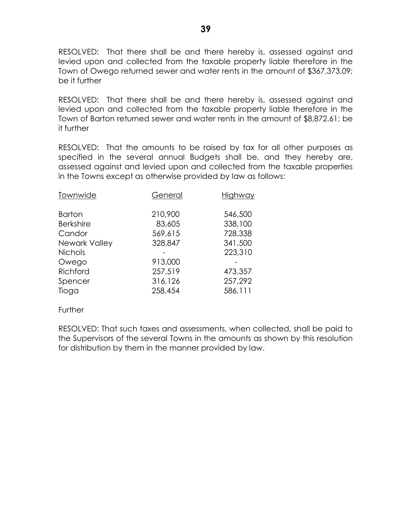RESOLVED: That there shall be and there hereby is, assessed against and levied upon and collected from the taxable property liable therefore in the Town of Owego returned sewer and water rents in the amount of \$367,373.09; be it further

RESOLVED: That there shall be and there hereby is, assessed against and levied upon and collected from the taxable property liable therefore in the Town of Barton returned sewer and water rents in the amount of \$8,872.61; be it further

RESOLVED: That the amounts to be raised by tax for all other purposes as specified in the several annual Budgets shall be, and they hereby are, assessed against and levied upon and collected from the taxable properties in the Towns except as otherwise provided by law as follows:

| Townwide         | General | Highway |
|------------------|---------|---------|
| <b>Barton</b>    | 210,900 | 546,500 |
| <b>Berkshire</b> | 83,605  | 338,100 |
| Candor           | 569,615 | 728,338 |
| Newark Valley    | 328,847 | 341,500 |
| <b>Nichols</b>   |         | 223,310 |
| Owego            | 913,000 |         |
| Richford         | 257,519 | 473,357 |
| Spencer          | 316,126 | 257,292 |
| Tioga            | 258,454 | 586,111 |
|                  |         |         |

#### Further

RESOLVED: That such taxes and assessments, when collected, shall be paid to the Supervisors of the several Towns in the amounts as shown by this resolution for distribution by them in the manner provided by law.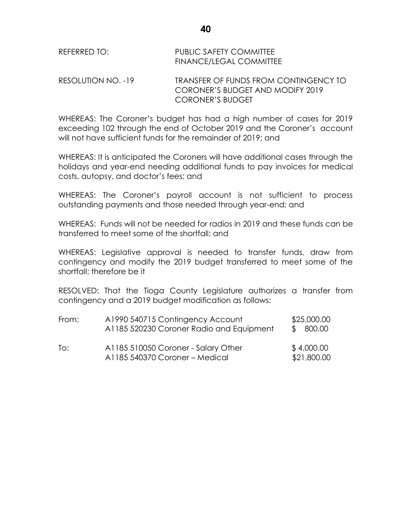| REFERRED TO:       | PUBLIC SAFETY COMMITTEE<br><b>FINANCE/LEGAL COMMITTEE</b> |
|--------------------|-----------------------------------------------------------|
| RESOLLITION NO -19 | TRANSEER OF FUNDS EROM CONTI                              |

RESOLUTION NO. -19 TRANSFER OF FUNDS FROM CONTINGENCY TO CORONER'S BUDGET AND MODIFY 2019 CORONER'S BUDGET

WHEREAS: The Coroner's budget has had a high number of cases for 2019 exceeding 102 through the end of October 2019 and the Coroner's account will not have sufficient funds for the remainder of 2019; and

WHEREAS: It is anticipated the Coroners will have additional cases through the holidays and year-end needing additional funds to pay invoices for medical costs, autopsy, and doctor's fees; and

WHEREAS: The Coroner's payroll account is not sufficient to process outstanding payments and those needed through year-end; and

WHEREAS: Funds will not be needed for radios in 2019 and these funds can be transferred to meet some of the shortfall; and

WHEREAS: Legislative approval is needed to transfer funds, draw from contingency and modify the 2019 budget transferred to meet some of the shortfall; therefore be it

RESOLVED: That the Tioga County Legislature authorizes a transfer from contingency and a 2019 budget modification as follows:

| From: | A1990 540715 Contingency Account<br>A1185 520230 Coroner Radio and Equipment | \$25,000.00<br>\$ 800.00  |
|-------|------------------------------------------------------------------------------|---------------------------|
| To:   | A1185 510050 Coroner - Salary Other<br>A1185 540370 Coroner – Medical        | \$4,000.00<br>\$21,800.00 |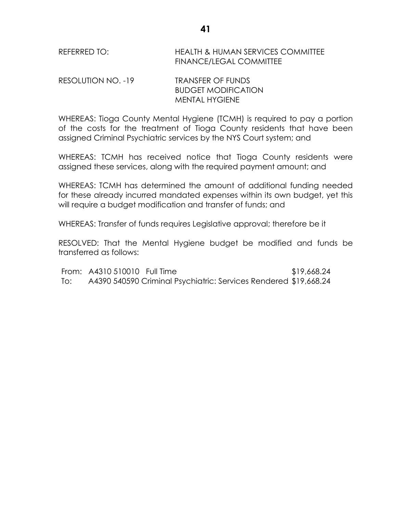REFERRED TO: HEALTH & HUMAN SERVICES COMMITTEE FINANCE/LEGAL COMMITTEE

RESOLUTION NO. -19 TRANSFER OF FUNDS BUDGET MODIFICATION MENTAL HYGIENE

WHEREAS: Tioga County Mental Hygiene (TCMH) is required to pay a portion of the costs for the treatment of Tioga County residents that have been assigned Criminal Psychiatric services by the NYS Court system; and

WHEREAS: TCMH has received notice that Tioga County residents were assigned these services, along with the required payment amount; and

WHEREAS: TCMH has determined the amount of additional funding needed for these already incurred mandated expenses within its own budget, yet this will require a budget modification and transfer of funds; and

WHEREAS: Transfer of funds requires Legislative approval; therefore be it

RESOLVED: That the Mental Hygiene budget be modified and funds be transferred as follows:

From: A4310 510010 Full Time \$19,668.24 To: A4390 540590 Criminal Psychiatric: Services Rendered \$19,668.24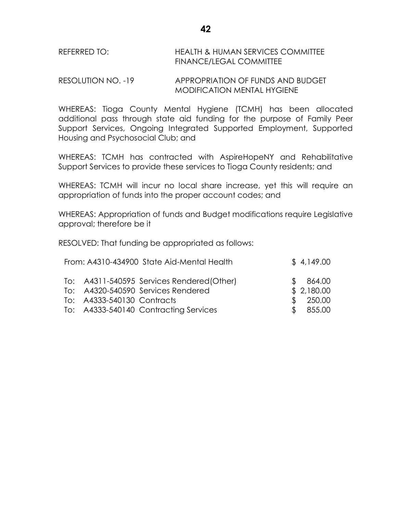# REFERRED TO: HEALTH & HUMAN SERVICES COMMITTEE FINANCE/LEGAL COMMITTEE

## RESOLUTION NO. -19 APPROPRIATION OF FUNDS AND BUDGET MODIFICATION MENTAL HYGIENE

WHEREAS: Tioga County Mental Hygiene (TCMH) has been allocated additional pass through state aid funding for the purpose of Family Peer Support Services, Ongoing Integrated Supported Employment, Supported Housing and Psychosocial Club; and

WHEREAS: TCMH has contracted with AspireHopeNY and Rehabilitative Support Services to provide these services to Tioga County residents; and

WHEREAS: TCMH will incur no local share increase, yet this will require an appropriation of funds into the proper account codes; and

WHEREAS: Appropriation of funds and Budget modifications require Legislative approval; therefore be it

RESOLVED: That funding be appropriated as follows:

| From: A4310-434900 State Aid-Mental Health | \$4,149.00 |
|--------------------------------------------|------------|
| To: A4311-540595 Services Rendered(Other)  | \$864.00   |
| To: A4320-540590 Services Rendered         | \$2,180.00 |
| To: A4333-540130 Contracts                 | \$ 250.00  |
| To: A4333-540140 Contracting Services      | \$855.00   |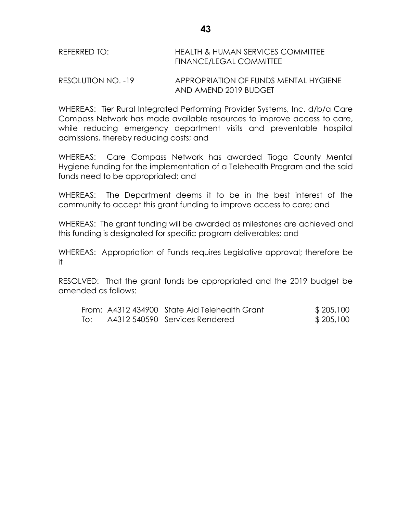| REFERRED TO: | HEALTH & HUMAN SERVICES COMMITTEE |
|--------------|-----------------------------------|
|              | FINANCE/LEGAL COMMITTEE           |

RESOLUTION NO. -19 APPROPRIATION OF FUNDS MENTAL HYGIENE AND AMEND 2019 BUDGET

WHEREAS: Tier Rural Integrated Performing Provider Systems, Inc. d/b/a Care Compass Network has made available resources to improve access to care, while reducing emergency department visits and preventable hospital admissions, thereby reducing costs; and

WHEREAS: Care Compass Network has awarded Tioga County Mental Hygiene funding for the implementation of a Telehealth Program and the said funds need to be appropriated; and

WHEREAS: The Department deems it to be in the best interest of the community to accept this grant funding to improve access to care; and

WHEREAS: The grant funding will be awarded as milestones are achieved and this funding is designated for specific program deliverables; and

WHEREAS: Appropriation of Funds requires Legislative approval; therefore be it

RESOLVED: That the grant funds be appropriated and the 2019 budget be amended as follows:

|     | From: A4312 434900 State Aid Telehealth Grant | \$205,100 |
|-----|-----------------------------------------------|-----------|
| To: | A4312 540590 Services Rendered                | \$205,100 |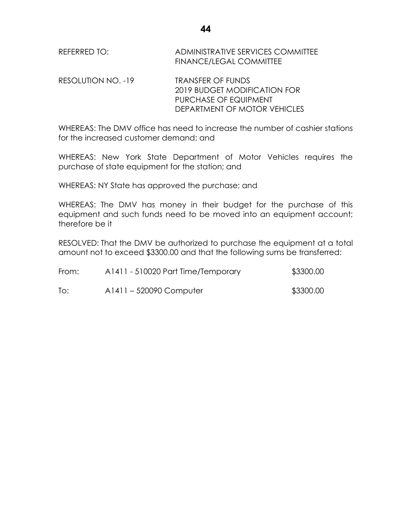REFERRED TO: ADMINISTRATIVE SERVICES COMMITTEE FINANCE/LEGAL COMMITTEE

RESOLUTION NO. -19 TRANSFER OF FUNDS 2019 BUDGET MODIFICATION FOR PURCHASE OF EQUIPMENT DEPARTMENT OF MOTOR VEHICLES

WHEREAS: The DMV office has need to increase the number of cashier stations for the increased customer demand; and

WHEREAS: New York State Department of Motor Vehicles requires the purchase of state equipment for the station; and

WHEREAS: NY State has approved the purchase; and

WHEREAS: The DMV has money in their budget for the purchase of this equipment and such funds need to be moved into an equipment account; therefore be it

RESOLVED: That the DMV be authorized to purchase the equipment at a total amount not to exceed \$3300.00 and that the following sums be transferred:

| From: | A1411 - 510020 Part Time/Temporary | \$3300.00 |
|-------|------------------------------------|-----------|
| To:   | A1411 – 520090 Computer            | \$3300.00 |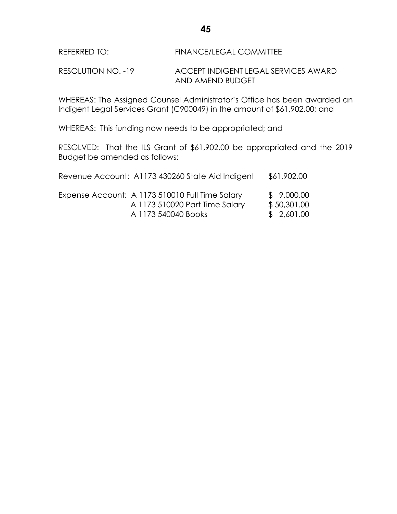RESOLUTION NO. -19 ACCEPT INDIGENT LEGAL SERVICES AWARD AND AMEND BUDGET

WHEREAS: The Assigned Counsel Administrator's Office has been awarded an Indigent Legal Services Grant (C900049) in the amount of \$61,902.00; and

WHEREAS: This funding now needs to be appropriated; and

RESOLVED: That the ILS Grant of \$61,902.00 be appropriated and the 2019 Budget be amended as follows:

| Revenue Account: A1173 430260 State Aid Indigent                                  | \$61,902.00               |
|-----------------------------------------------------------------------------------|---------------------------|
| Expense Account: A 1173 510010 Full Time Salary<br>A 1173 510020 Part Time Salary | \$9,000.00<br>\$50,301.00 |
| A 1173 540040 Books                                                               | \$2,601.00                |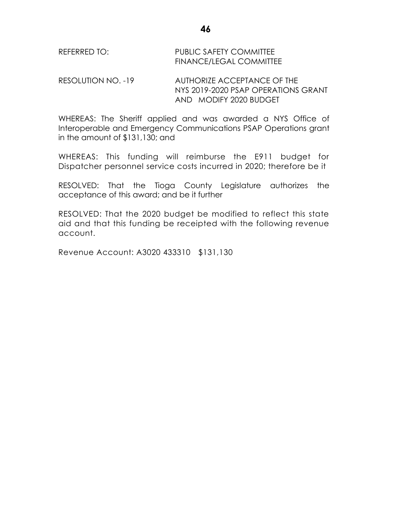| REFERRED TO: | <b>PUBLIC SAFETY COMMITTEE</b> |
|--------------|--------------------------------|
|              | <b>FINANCE/LEGAL COMMITTEE</b> |

RESOLUTION NO. -19 AUTHORIZE ACCEPTANCE OF THE NYS 2019-2020 PSAP OPERATIONS GRANT AND MODIFY 2020 BUDGET

WHEREAS: The Sheriff applied and was awarded a NYS Office of Interoperable and Emergency Communications PSAP Operations grant in the amount of \$131,130; and

WHEREAS: This funding will reimburse the E911 budget for Dispatcher personnel service costs incurred in 2020; therefore be it

RESOLVED: That the Tioga County Legislature authorizes the acceptance of this award; and be it further

RESOLVED: That the 2020 budget be modified to reflect this state aid and that this funding be receipted with the following revenue account.

Revenue Account: A3020 433310 \$131,130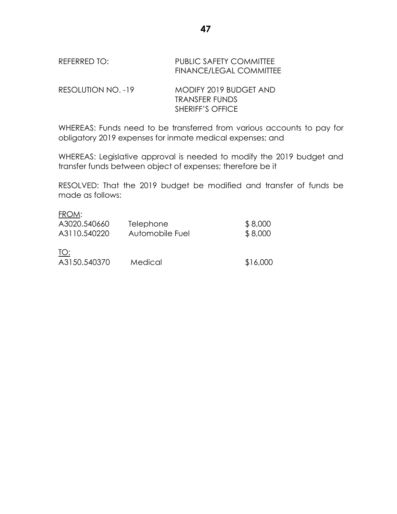# REFERRED TO: PUBLIC SAFETY COMMITTEE FINANCE/LEGAL COMMITTEE

RESOLUTION NO. -19 MODIFY 2019 BUDGET AND TRANSFER FUNDS SHERIFF'S OFFICE

WHEREAS: Funds need to be transferred from various accounts to pay for obligatory 2019 expenses for inmate medical expenses; and

WHEREAS: Legislative approval is needed to modify the 2019 budget and transfer funds between object of expenses; therefore be it

RESOLVED: That the 2019 budget be modified and transfer of funds be made as follows:

# FROM:

| A3020.540660        | <b>Telephone</b> | \$8,000  |
|---------------------|------------------|----------|
| A3110.540220        | Automobile Fuel  | \$8,000  |
| TO:<br>A3150.540370 | Medical          | \$16,000 |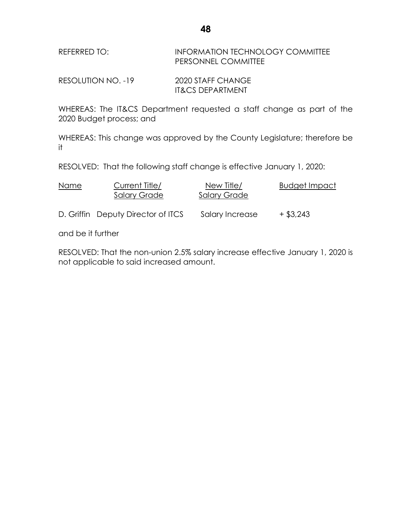| REFERRED TO: | <b>INFORMATION TECHNOLOGY COMMITTEE</b> |
|--------------|-----------------------------------------|
|              | PERSONNEL COMMITTEE                     |

RESOLUTION NO. -19 2020 STAFF CHANGE IT&CS DEPARTMENT

WHEREAS: The IT&CS Department requested a staff change as part of the 2020 Budget process; and

WHEREAS: This change was approved by the County Legislature; therefore be it

RESOLVED: That the following staff change is effective January 1, 2020:

| Name | Current Title/<br><b>Salary Grade</b> | New Title/<br><b>Salary Grade</b> | <b>Budget Impact</b> |
|------|---------------------------------------|-----------------------------------|----------------------|
|      | D. Griffin Deputy Director of ITCS    | Salary Increase                   | $+$ \$3,243          |

and be it further

RESOLVED: That the non-union 2.5% salary increase effective January 1, 2020 is not applicable to said increased amount.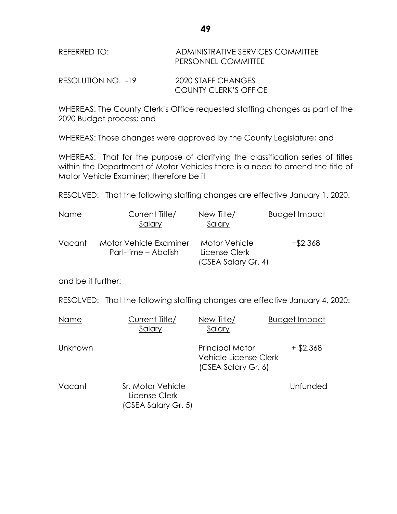| REFERRED TO: | ADMINISTRATIVE SERVICES COMMITTEE |
|--------------|-----------------------------------|
|              | PERSONNEL COMMITTEE               |

RESOLUTION NO. -19 2020 STAFF CHANGES COUNTY CLERK'S OFFICE

WHEREAS: The County Clerk's Office requested staffing changes as part of the 2020 Budget process; and

WHEREAS: Those changes were approved by the County Legislature; and

WHEREAS: That for the purpose of clarifying the classification series of titles within the Department of Motor Vehicles there is a need to amend the title of Motor Vehicle Examiner; therefore be it

RESOLVED: That the following staffing changes are effective January 1, 2020:

| Name   | Current Title/<br>Salary                      | New Title/<br>Salary                                  | Budget Impact |
|--------|-----------------------------------------------|-------------------------------------------------------|---------------|
| Vacant | Motor Vehicle Examiner<br>Part-time – Abolish | Motor Vehicle<br>License Clerk<br>(CSEA Salary Gr. 4) | $+ $2,368$    |

and be it further:

RESOLVED: That the following staffing changes are effective January 4, 2020:

| Name    | Current Title/<br>Salary                                  | New Title/<br>Salary                                                   | <b>Budget Impact</b> |
|---------|-----------------------------------------------------------|------------------------------------------------------------------------|----------------------|
| Unknown |                                                           | <b>Principal Motor</b><br>Vehicle License Clerk<br>(CSEA Salary Gr. 6) | $+$ \$2,368          |
| Vacant  | Sr. Motor Vehicle<br>License Clerk<br>(CSEA Salary Gr. 5) |                                                                        | Unfunded             |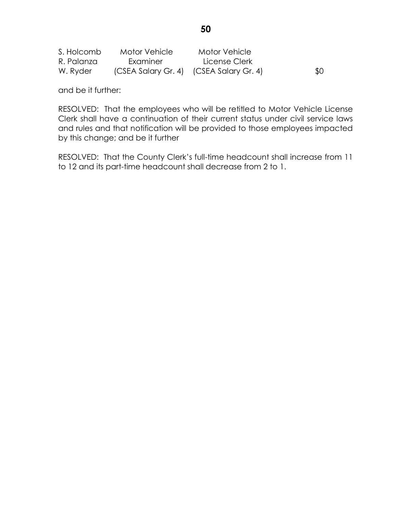| S. Holcomb | Motor Vehicle                           | <b>Motor Vehicle</b> |     |
|------------|-----------------------------------------|----------------------|-----|
| R. Palanza | Examiner                                | License Clerk        |     |
| W. Ryder   | (CSEA Salary Gr. 4) (CSEA Salary Gr. 4) |                      | \$0 |

and be it further:

RESOLVED: That the employees who will be retitled to Motor Vehicle License Clerk shall have a continuation of their current status under civil service laws and rules and that notification will be provided to those employees impacted by this change; and be it further

RESOLVED: That the County Clerk's full-time headcount shall increase from 11 to 12 and its part-time headcount shall decrease from 2 to 1.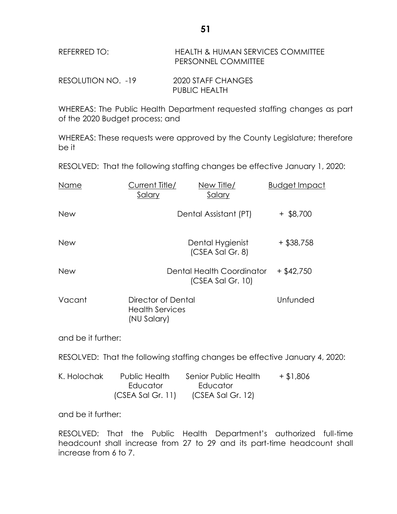| REFERRED TO:       | <b>HEALTH &amp; HUMAN SERVICES COMMITTEE</b><br>PERSONNEL COMMITTEE |
|--------------------|---------------------------------------------------------------------|
| RESOLUTION NO. -19 | 2020 STAFF CHANGES<br>PUBLIC HEALTH                                 |

WHEREAS: The Public Health Department requested staffing changes as part of the 2020 Budget process; and

WHEREAS: These requests were approved by the County Legislature; therefore be it

RESOLVED: That the following staffing changes be effective January 1, 2020:

| Name       | Current Title/<br>Salary                                    | New Title/<br>Salary                             | <b>Budget Impact</b> |
|------------|-------------------------------------------------------------|--------------------------------------------------|----------------------|
| <b>New</b> |                                                             | Dental Assistant (PT)                            | $+$ \$8,700          |
| <b>New</b> |                                                             | Dental Hygienist<br>(CSEA Sal Gr. 8)             | $+$ \$38,758         |
| <b>New</b> |                                                             | Dental Health Coordinator<br>$(CSEA$ Sal Gr. 10) | $+$ \$42,750         |
| Vacant     | Director of Dental<br><b>Health Services</b><br>(NU Salary) |                                                  | Unfunded             |

and be it further:

RESOLVED: That the following staffing changes be effective January 4, 2020:

| K. Holochak | Public Health       | Senior Public Health | $+$ \$1,806 |
|-------------|---------------------|----------------------|-------------|
|             | Educator            | Educator             |             |
|             | $(CSEA$ Sal Gr. 11) | $(CSEA$ Sal Gr. 12)  |             |

and be it further:

RESOLVED: That the Public Health Department's authorized full-time headcount shall increase from 27 to 29 and its part-time headcount shall increase from 6 to 7.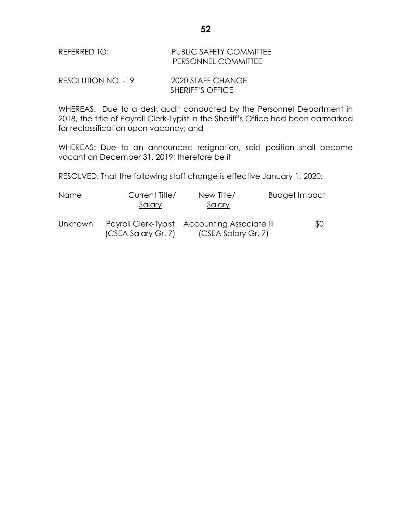| REFERRED TO: | <b>PUBLIC SAFETY COMMITTEE</b> |
|--------------|--------------------------------|
|              | PERSONNEL COMMITTEE            |

RESOLUTION NO. -19 2020 STAFF CHANGE SHERIFF'S OFFICE

WHEREAS: Due to a desk audit conducted by the Personnel Department in 2018, the title of Payroll Clerk-Typist in the Sheriff's Office had been earmarked for reclassification upon vacancy; and

WHEREAS: Due to an announced resignation, said position shall become vacant on December 31, 2019; therefore be it

RESOLVED: That the following staff change is effective January 1, 2020:

| Name           | Current Title/<br>Salary | New Title/<br>Salary                                                 | Budget Impact |
|----------------|--------------------------|----------------------------------------------------------------------|---------------|
| <b>Unknown</b> | (CSEA Salary Gr. 7)      | Payroll Clerk-Typist Accounting Associate III<br>(CSEA Salary Gr. 7) | \$0           |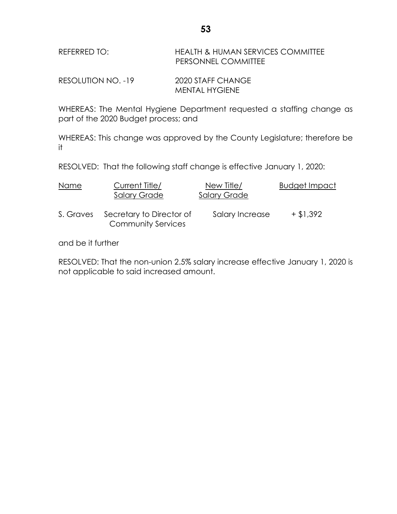| REFERRED TO: | HEALTH & HUMAN SERVICES COMMITTEE |
|--------------|-----------------------------------|
|              | <b>PERSONNEL COMMITTEE</b>        |

RESOLUTION NO. -19 2020 STAFF CHANGE MENTAL HYGIENE

WHEREAS: The Mental Hygiene Department requested a staffing change as part of the 2020 Budget process; and

WHEREAS: This change was approved by the County Legislature; therefore be it

RESOLVED: That the following staff change is effective January 1, 2020:

| Name      | Current Title/<br><b>Salary Grade</b>                 | New Title/<br><b>Salary Grade</b> | <b>Budget Impact</b> |
|-----------|-------------------------------------------------------|-----------------------------------|----------------------|
| S. Graves | Secretary to Director of<br><b>Community Services</b> | Salary Increase                   | $+ $1,392$           |

and be it further

RESOLVED: That the non-union 2.5% salary increase effective January 1, 2020 is not applicable to said increased amount.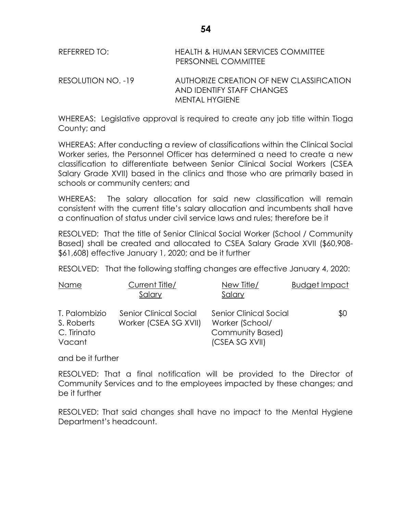| REFERRED TO:       | HEALTH & HUMAN SERVICES COMMITTEE<br>PERSONNEL COMMITTEE                                 |
|--------------------|------------------------------------------------------------------------------------------|
| RESOLUTION NO. -19 | AUTHORIZE CREATION OF NEW CLASSIFICATION<br>AND IDENTIFY STAFF CHANGES<br>MENTAL HYGIENE |

WHEREAS: Legislative approval is required to create any job title within Tioga County; and

WHEREAS: After conducting a review of classifications within the Clinical Social Worker series, the Personnel Officer has determined a need to create a new classification to differentiate between Senior Clinical Social Workers (CSEA Salary Grade XVII) based in the clinics and those who are primarily based in schools or community centers; and

WHEREAS: The salary allocation for said new classification will remain consistent with the current title's salary allocation and incumbents shall have a continuation of status under civil service laws and rules; therefore be it

RESOLVED: That the title of Senior Clinical Social Worker (School / Community Based) shall be created and allocated to CSEA Salary Grade XVII (\$60,908- \$61,608) effective January 1, 2020; and be it further

RESOLVED: That the following staffing changes are effective January 4, 2020:

| Name                                                 | Current Title/<br>Salary                        | New Title/<br>Salary                                                                          | <b>Budget Impact</b> |
|------------------------------------------------------|-------------------------------------------------|-----------------------------------------------------------------------------------------------|----------------------|
| T. Palombizio<br>S. Roberts<br>C. Tirinato<br>Vacant | Senior Clinical Social<br>Worker (CSEA SG XVII) | <b>Senior Clinical Social</b><br>Worker (School/<br><b>Community Based)</b><br>(CSEA SG XVII) | \$0                  |

and be it further

RESOLVED: That a final notification will be provided to the Director of Community Services and to the employees impacted by these changes; and be it further

RESOLVED: That said changes shall have no impact to the Mental Hygiene Department's headcount.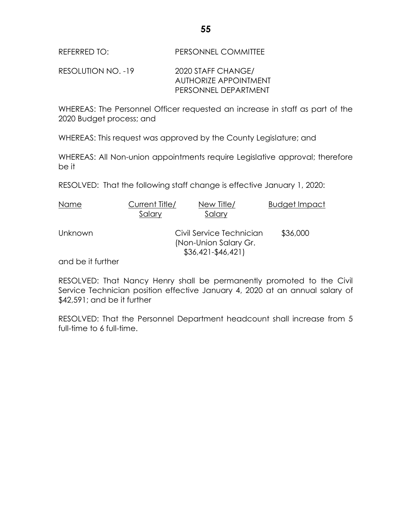RESOLUTION NO. -19 2020 STAFF CHANGE/ AUTHORIZE APPOINTMENT PERSONNEL DEPARTMENT

WHEREAS: The Personnel Officer requested an increase in staff as part of the 2020 Budget process; and

WHEREAS: This request was approved by the County Legislature; and

WHEREAS: All Non-union appointments require Legislative approval; therefore be it

RESOLVED: That the following staff change is effective January 1, 2020:

| Name           | Current Title/<br>Salary | New Title/<br>Salary                                                      | <b>Budget Impact</b> |
|----------------|--------------------------|---------------------------------------------------------------------------|----------------------|
| <b>Unknown</b> |                          | Civil Service Technician<br>(Non-Union Salary Gr.<br>$$36,421 - $46,421]$ | \$36,000             |
|                |                          |                                                                           |                      |

and be it further

RESOLVED: That Nancy Henry shall be permanently promoted to the Civil Service Technician position effective January 4, 2020 at an annual salary of \$42,591; and be it further

RESOLVED: That the Personnel Department headcount shall increase from 5 full-time to 6 full-time.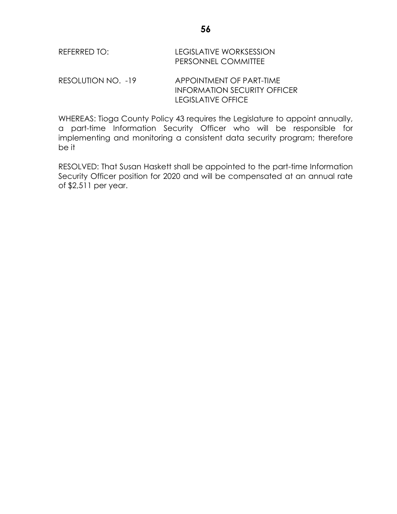| REFERRED TO:       | LEGISLATIVE WORKSESSION<br><b>PERSONNEL COMMITTEE</b>           |
|--------------------|-----------------------------------------------------------------|
| RESOLUTION NO. -19 | APPOINTMENT OF PART-TIME<br><b>INFORMATION SECURITY OFFICER</b> |

WHEREAS: Tioga County Policy 43 requires the Legislature to appoint annually, a part-time Information Security Officer who will be responsible for implementing and monitoring a consistent data security program; therefore be it

LEGISLATIVE OFFICE

RESOLVED: That Susan Haskett shall be appointed to the part-time Information Security Officer position for 2020 and will be compensated at an annual rate of \$2,511 per year.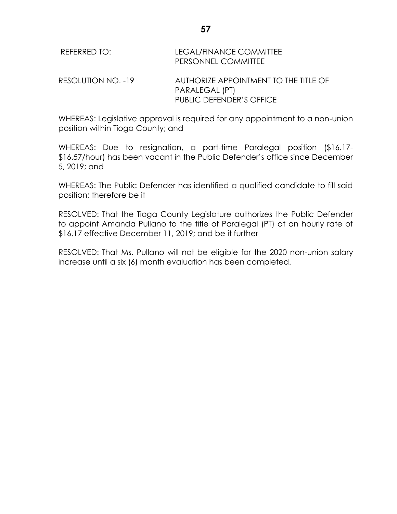| REFERRED TO:       | LEGAL/FINANCE COMMITTEE<br>PERSONNEL COMMITTEE          |
|--------------------|---------------------------------------------------------|
| RESOLUTION NO. -19 | AUTHORIZE APPOINTMENT TO THE TITLE OF<br>PARALEGAL (PT) |
|                    | PUBLIC DEFENDER'S OFFICE                                |

WHEREAS: Legislative approval is required for any appointment to a non-union position within Tioga County; and

WHEREAS: Due to resignation, a part-time Paralegal position (\$16.17- \$16.57/hour) has been vacant in the Public Defender's office since December 5, 2019; and

WHEREAS: The Public Defender has identified a qualified candidate to fill said position; therefore be it

RESOLVED: That the Tioga County Legislature authorizes the Public Defender to appoint Amanda Pullano to the title of Paralegal (PT) at an hourly rate of \$16.17 effective December 11, 2019; and be it further

RESOLVED: That Ms. Pullano will not be eligible for the 2020 non-union salary increase until a six (6) month evaluation has been completed.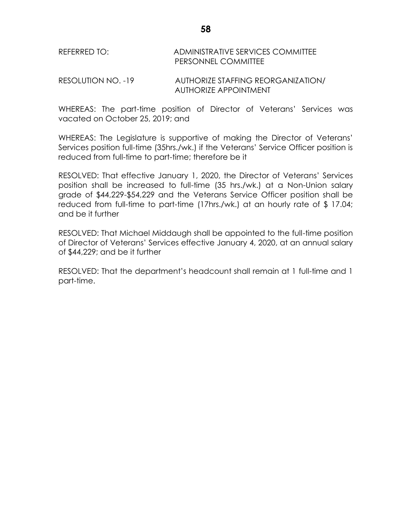# REFERRED TO: ADMINISTRATIVE SERVICES COMMITTEE PERSONNEL COMMITTEE

RESOLUTION NO. -19 AUTHORIZE STAFFING REORGANIZATION/ AUTHORIZE APPOINTMENT

WHEREAS: The part-time position of Director of Veterans' Services was vacated on October 25, 2019; and

WHEREAS: The Legislature is supportive of making the Director of Veterans' Services position full-time (35hrs./wk.) if the Veterans' Service Officer position is reduced from full-time to part-time; therefore be it

RESOLVED: That effective January 1, 2020, the Director of Veterans' Services position shall be increased to full-time (35 hrs./wk.) at a Non-Union salary grade of \$44,229-\$54,229 and the Veterans Service Officer position shall be reduced from full-time to part-time (17hrs./wk.) at an hourly rate of \$ 17.04; and be it further

RESOLVED: That Michael Middaugh shall be appointed to the full-time position of Director of Veterans' Services effective January 4, 2020, at an annual salary of \$44,229; and be it further

RESOLVED: That the department's headcount shall remain at 1 full-time and 1 part-time.